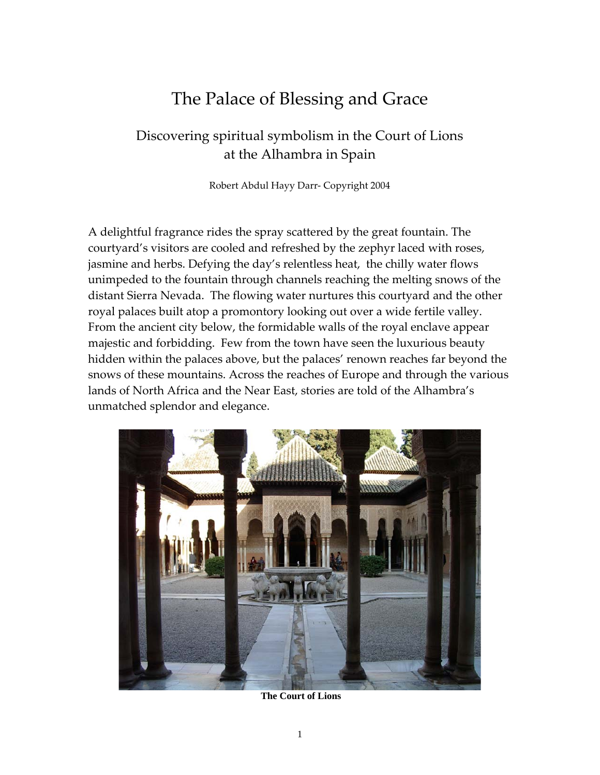# The Palace of Blessing and Grace

## Discovering spiritual symbolism in the Court of Lions at the Alhambra in Spain

Robert Abdul Hayy Darr‐ Copyright 2004

A delightful fragrance rides the spray scattered by the great fountain. The courtyard's visitors are cooled and refreshed by the zephyr laced with roses, jasmine and herbs. Defying the day's relentless heat, the chilly water flows unimpeded to the fountain through channels reaching the melting snows of the distant Sierra Nevada. The flowing water nurtures this courtyard and the other royal palaces built atop a promontory looking out over a wide fertile valley. From the ancient city below, the formidable walls of the royal enclave appear majestic and forbidding. Few from the town have seen the luxurious beauty hidden within the palaces above, but the palaces' renown reaches far beyond the snows of these mountains. Across the reaches of Europe and through the various lands of North Africa and the Near East, stories are told of the Alhambra's unmatched splendor and elegance.



 **The Court of Lions**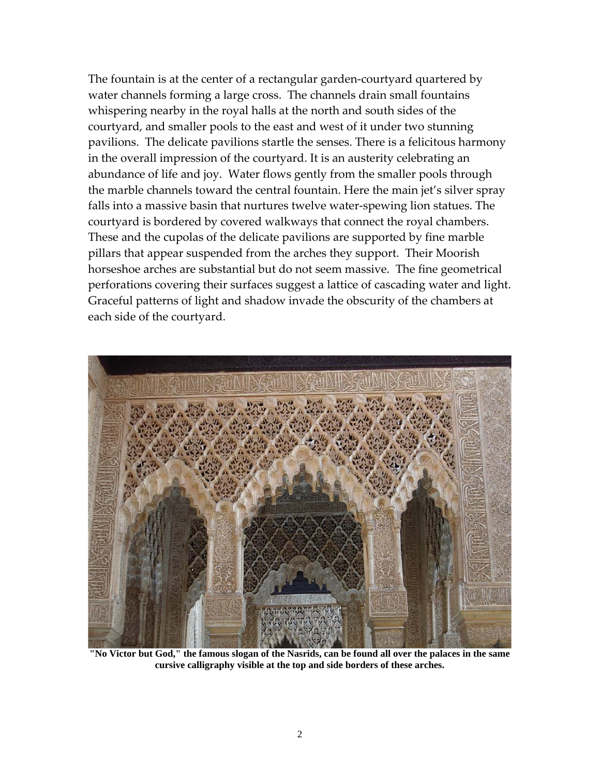The fountain is at the center of a rectangular garden‐courtyard quartered by water channels forming a large cross. The channels drain small fountains whispering nearby in the royal halls at the north and south sides of the courtyard, and smaller pools to the east and west of it under two stunning pavilions. The delicate pavilions startle the senses. There is a felicitous harmony in the overall impression of the courtyard. It is an austerity celebrating an abundance of life and joy. Water flows gently from the smaller pools through the marble channels toward the central fountain. Here the main jet's silver spray falls into a massive basin that nurtures twelve water‐spewing lion statues. The courtyard is bordered by covered walkways that connect the royal chambers. These and the cupolas of the delicate pavilions are supported by fine marble pillars that appear suspended from the arches they support. Their Moorish horseshoe arches are substantial but do not seem massive. The fine geometrical perforations covering their surfaces suggest a lattice of cascading water and light. Graceful patterns of light and shadow invade the obscurity of the chambers at each side of the courtyard.



**"No Victor but God," the famous slogan of the Nasrids, can be found all over the palaces in the same cursive calligraphy visible at the top and side borders of these arches.**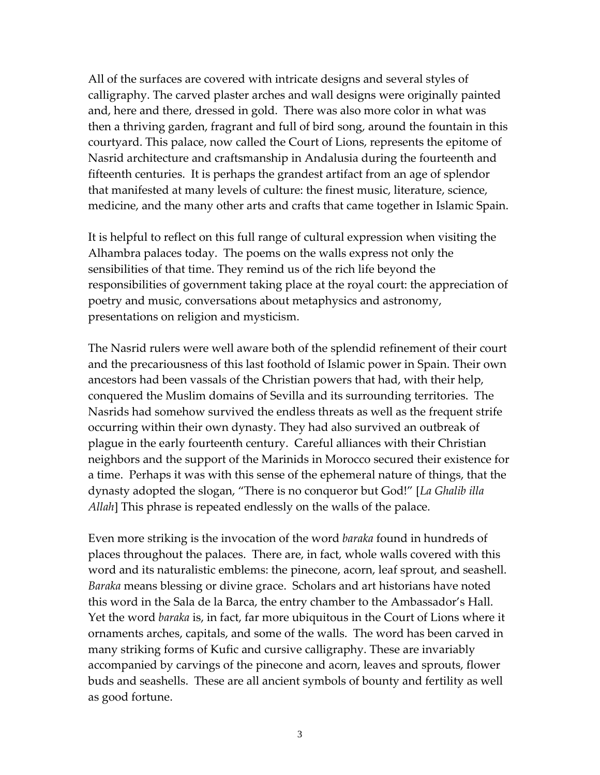All of the surfaces are covered with intricate designs and several styles of calligraphy. The carved plaster arches and wall designs were originally painted and, here and there, dressed in gold. There was also more color in what was then a thriving garden, fragrant and full of bird song, around the fountain in this courtyard. This palace, now called the Court of Lions, represents the epitome of Nasrid architecture and craftsmanship in Andalusia during the fourteenth and fifteenth centuries. It is perhaps the grandest artifact from an age of splendor that manifested at many levels of culture: the finest music, literature, science, medicine, and the many other arts and crafts that came together in Islamic Spain.

It is helpful to reflect on this full range of cultural expression when visiting the Alhambra palaces today. The poems on the walls express not only the sensibilities of that time. They remind us of the rich life beyond the responsibilities of government taking place at the royal court: the appreciation of poetry and music, conversations about metaphysics and astronomy, presentations on religion and mysticism.

The Nasrid rulers were well aware both of the splendid refinement of their court and the precariousness of this last foothold of Islamic power in Spain. Their own ancestors had been vassals of the Christian powers that had, with their help, conquered the Muslim domains of Sevilla and its surrounding territories. The Nasrids had somehow survived the endless threats as well as the frequent strife occurring within their own dynasty. They had also survived an outbreak of plague in the early fourteenth century. Careful alliances with their Christian neighbors and the support of the Marinids in Morocco secured their existence for a time. Perhaps it was with this sense of the ephemeral nature of things, that the dynasty adopted the slogan, "There is no conqueror but God!" [*La Ghalib illa Allah*] This phrase is repeated endlessly on the walls of the palace.

Even more striking is the invocation of the word *baraka* found in hundreds of places throughout the palaces. There are, in fact, whole walls covered with this word and its naturalistic emblems: the pinecone, acorn, leaf sprout, and seashell. *Baraka* means blessing or divine grace. Scholars and art historians have noted this word in the Sala de la Barca, the entry chamber to the Ambassador's Hall. Yet the word *baraka* is, in fact, far more ubiquitous in the Court of Lions where it ornaments arches, capitals, and some of the walls. The word has been carved in many striking forms of Kufic and cursive calligraphy. These are invariably accompanied by carvings of the pinecone and acorn, leaves and sprouts, flower buds and seashells. These are all ancient symbols of bounty and fertility as well as good fortune.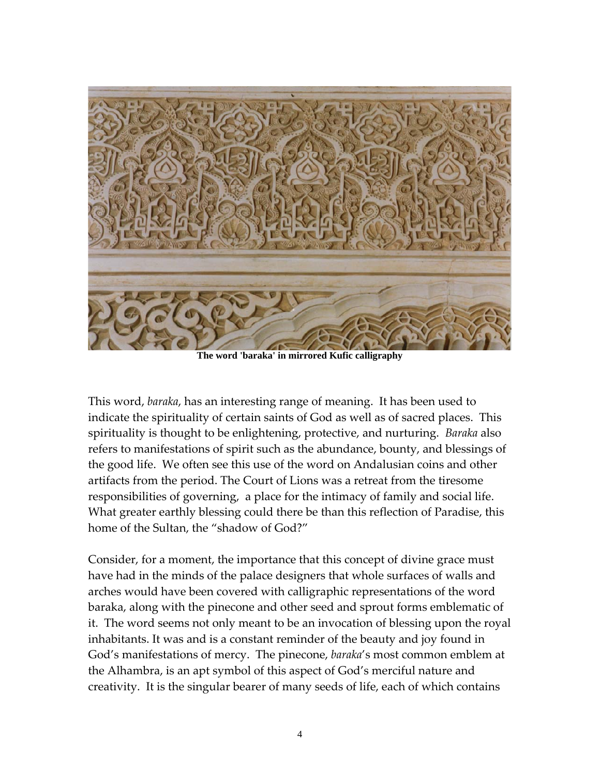

**The word 'baraka' in mirrored Kufic calligraphy**

This word, *baraka*, has an interesting range of meaning. It has been used to indicate the spirituality of certain saints of God as well as of sacred places. This spirituality is thought to be enlightening, protective, and nurturing. *Baraka* also refers to manifestations of spirit such as the abundance, bounty, and blessings of the good life. We often see this use of the word on Andalusian coins and other artifacts from the period. The Court of Lions was a retreat from the tiresome responsibilities of governing, a place for the intimacy of family and social life. What greater earthly blessing could there be than this reflection of Paradise, this home of the Sultan, the "shadow of God?"

Consider, for a moment, the importance that this concept of divine grace must have had in the minds of the palace designers that whole surfaces of walls and arches would have been covered with calligraphic representations of the word baraka, along with the pinecone and other seed and sprout forms emblematic of it. The word seems not only meant to be an invocation of blessing upon the royal inhabitants. It was and is a constant reminder of the beauty and joy found in God's manifestations of mercy. The pinecone, *baraka*'s most common emblem at the Alhambra, is an apt symbol of this aspect of God's merciful nature and creativity. It is the singular bearer of many seeds of life, each of which contains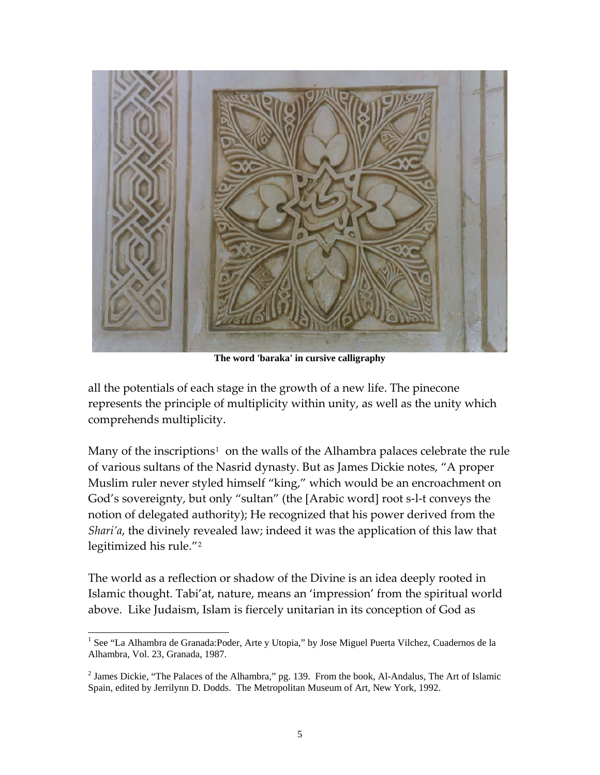

**The word 'baraka' in cursive calligraphy**

all the potentials of each stage in the growth of a new life. The pinecone represents the principle of multiplicity within unity, as well as the unity which comprehends multiplicity.

Many of the inscriptions<sup>[1](#page-4-0)</sup> on the walls of the Alhambra palaces celebrate the rule of various sultans of the Nasrid dynasty. But as James Dickie notes, "A proper Muslim ruler never styled himself "king," which would be an encroachment on God's sovereignty, but only "sultan" (the [Arabic word] root s‐l‐t conveys the notion of delegated authority); He recognized that his power derived from the *Shari'a*, the divinely revealed law; indeed it was the application of this law that legitimized his rule."[2](#page-4-1)

The world as a reflection or shadow of the Divine is an idea deeply rooted in Islamic thought. Tabi'at, nature, means an 'impression' from the spiritual world above. Like Judaism, Islam is fiercely unitarian in its conception of God as

<span id="page-4-0"></span>l <sup>1</sup> See "La Alhambra de Granada: Poder, Arte y Utopia," by Jose Miguel Puerta Vilchez, Cuadernos de la Alhambra, Vol. 23, Granada, 1987.

<span id="page-4-1"></span><sup>&</sup>lt;sup>2</sup> James Dickie, "The Palaces of the Alhambra," pg. 139. From the book, Al-Andalus, The Art of Islamic Spain, edited by Jerrilynn D. Dodds. The Metropolitan Museum of Art, New York, 1992.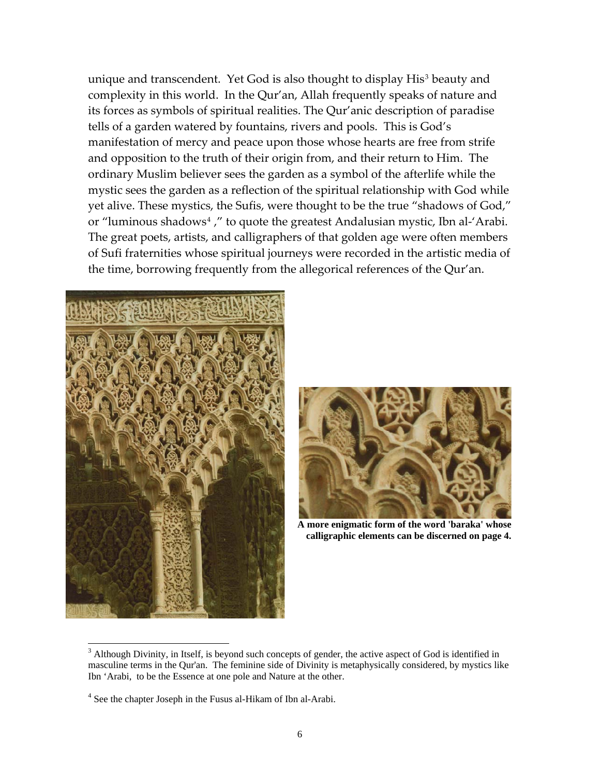unique and transcendent. Yet God is also thought to display His<sup>[3](#page-5-0)</sup> beauty and complexity in this world. In the Qur'an, Allah frequently speaks of nature and its forces as symbols of spiritual realities. The Qur'anic description of paradise tells of a garden watered by fountains, rivers and pools. This is God's manifestation of mercy and peace upon those whose hearts are free from strife and opposition to the truth of their origin from, and their return to Him. The ordinary Muslim believer sees the garden as a symbol of the afterlife while the mystic sees the garden as a reflection of the spiritual relationship with God while yet alive. These mystics, the Sufis, were thought to be the true "shadows of God," or "luminous shadows<sup>[4](#page-5-1)</sup>," to quote the greatest Andalusian mystic, Ibn al-'Arabi. The great poets, artists, and calligraphers of that golden age were often members of Sufi fraternities whose spiritual journeys were recorded in the artistic media of the time, borrowing frequently from the allegorical references of the Qur'an.



 $\overline{a}$ 



**A more enigmatic form of the word 'baraka' whose calligraphic elements can be discerned on page 4.** 

<span id="page-5-0"></span><sup>&</sup>lt;sup>3</sup> Although Divinity, in Itself, is beyond such concepts of gender, the active aspect of God is identified in masculine terms in the Qur'an. The feminine side of Divinity is metaphysically considered, by mystics like Ibn 'Arabi, to be the Essence at one pole and Nature at the other.

<span id="page-5-1"></span><sup>&</sup>lt;sup>4</sup> See the chapter Joseph in the Fusus al-Hikam of Ibn al-Arabi.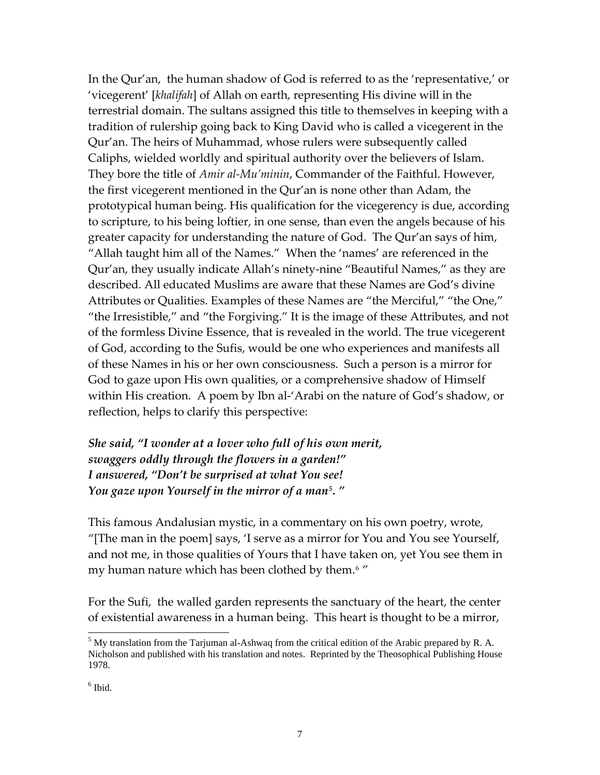In the Qur'an, the human shadow of God is referred to as the 'representative,' or 'vicegerent' [*khalifah*] of Allah on earth, representing His divine will in the terrestrial domain. The sultans assigned this title to themselves in keeping with a tradition of rulership going back to King David who is called a vicegerent in the Qur'an. The heirs of Muhammad, whose rulers were subsequently called Caliphs, wielded worldly and spiritual authority over the believers of Islam. They bore the title of *Amir al‐Mu'minin*, Commander of the Faithful. However, the first vicegerent mentioned in the Qur'an is none other than Adam, the prototypical human being. His qualification for the vicegerency is due, according to scripture, to his being loftier, in one sense, than even the angels because of his greater capacity for understanding the nature of God. The Qur'an says of him, "Allah taught him all of the Names." When the 'names' are referenced in the Qur'an, they usually indicate Allah's ninety‐nine "Beautiful Names," as they are described. All educated Muslims are aware that these Names are God's divine Attributes or Qualities. Examples of these Names are "the Merciful," "the One," "the Irresistible," and "the Forgiving." It is the image of these Attributes, and not of the formless Divine Essence, that is revealed in the world. The true vicegerent of God, according to the Sufis, would be one who experiences and manifests all of these Names in his or her own consciousness. Such a person is a mirror for God to gaze upon His own qualities, or a comprehensive shadow of Himself within His creation. A poem by Ibn al-'Arabi on the nature of God's shadow, or reflection, helps to clarify this perspective:

*She said, "I wonder at a lover who full of his own merit, swaggers oddly through the flowers in a garden!" I answered, "Don't be surprised at what You see! You gaze upon Yourself in the mirror of a man[5](#page-6-0). "*

This famous Andalusian mystic, in a commentary on his own poetry, wrote, "[The man in the poem] says, 'I serve as a mirror for You and You see Yourself, and not me, in those qualities of Yours that I have taken on, yet You see them in my human nature which has been clothed by them.<sup>[6](#page-6-1)</sup>

For the Sufi, the walled garden represents the sanctuary of the heart, the center of existential awareness in a human being. This heart is thought to be a mirror,

<span id="page-6-0"></span> $<sup>5</sup>$  My translation from the Tarjuman al-Ashwaq from the critical edition of the Arabic prepared by R. A.</sup> Nicholson and published with his translation and notes. Reprinted by the Theosophical Publishing House 1978.

<span id="page-6-1"></span> $<sup>6</sup>$  Ibid.</sup>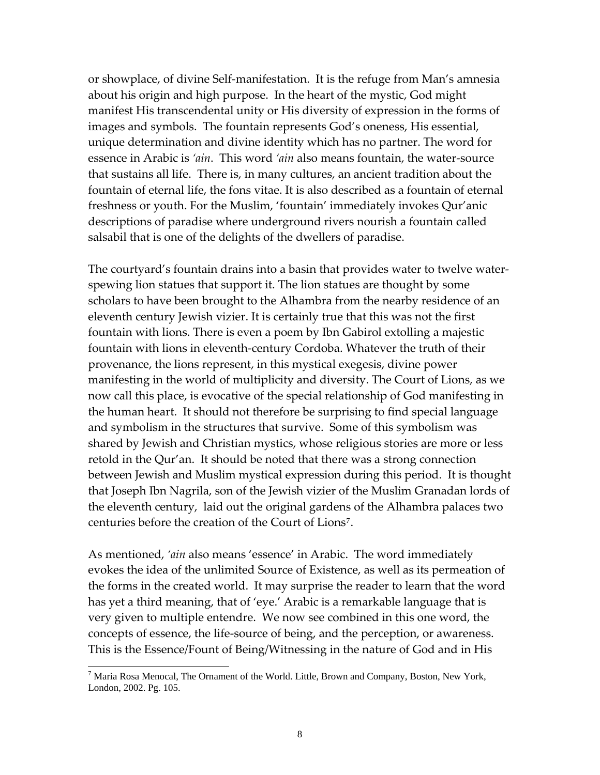or showplace, of divine Self‐manifestation. It is the refuge from Man's amnesia about his origin and high purpose. In the heart of the mystic, God might manifest His transcendental unity or His diversity of expression in the forms of images and symbols. The fountain represents God's oneness, His essential, unique determination and divine identity which has no partner. The word for essence in Arabic is *'ain*. This word *'ain* also means fountain, the water‐source that sustains all life. There is, in many cultures, an ancient tradition about the fountain of eternal life, the fons vitae. It is also described as a fountain of eternal freshness or youth. For the Muslim, 'fountain' immediately invokes Qur'anic descriptions of paradise where underground rivers nourish a fountain called salsabil that is one of the delights of the dwellers of paradise.

The courtyard's fountain drains into a basin that provides water to twelve water‐ spewing lion statues that support it. The lion statues are thought by some scholars to have been brought to the Alhambra from the nearby residence of an eleventh century Jewish vizier. It is certainly true that this was not the first fountain with lions. There is even a poem by Ibn Gabirol extolling a majestic fountain with lions in eleventh‐century Cordoba. Whatever the truth of their provenance, the lions represent, in this mystical exegesis, divine power manifesting in the world of multiplicity and diversity. The Court of Lions, as we now call this place, is evocative of the special relationship of God manifesting in the human heart. It should not therefore be surprising to find special language and symbolism in the structures that survive. Some of this symbolism was shared by Jewish and Christian mystics, whose religious stories are more or less retold in the Qur'an. It should be noted that there was a strong connection between Jewish and Muslim mystical expression during this period. It is thought that Joseph Ibn Nagrila, son of the Jewish vizier of the Muslim Granadan lords of the eleventh century, laid out the original gardens of the Alhambra palaces two centuries before the creation of the Court of Lions[7](#page-7-0).

As mentioned, *'ain* also means 'essence' in Arabic. The word immediately evokes the idea of the unlimited Source of Existence, as well as its permeation of the forms in the created world. It may surprise the reader to learn that the word has yet a third meaning, that of 'eye.' Arabic is a remarkable language that is very given to multiple entendre. We now see combined in this one word, the concepts of essence, the life‐source of being, and the perception, or awareness. This is the Essence/Fount of Being/Witnessing in the nature of God and in His

<span id="page-7-0"></span> $^7$  Maria Rosa Menocal, The Ornament of the World. Little, Brown and Company, Boston, New York, London, 2002. Pg. 105.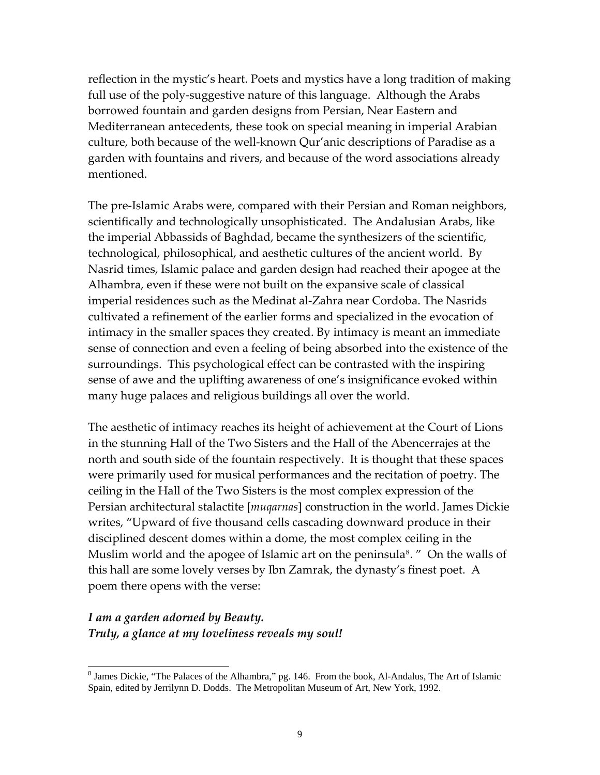reflection in the mystic's heart. Poets and mystics have a long tradition of making full use of the poly‐suggestive nature of this language. Although the Arabs borrowed fountain and garden designs from Persian, Near Eastern and Mediterranean antecedents, these took on special meaning in imperial Arabian culture, both because of the well‐known Qur'anic descriptions of Paradise as a garden with fountains and rivers, and because of the word associations already mentioned.

The pre‐Islamic Arabs were, compared with their Persian and Roman neighbors, scientifically and technologically unsophisticated. The Andalusian Arabs, like the imperial Abbassids of Baghdad, became the synthesizers of the scientific, technological, philosophical, and aesthetic cultures of the ancient world. By Nasrid times, Islamic palace and garden design had reached their apogee at the Alhambra, even if these were not built on the expansive scale of classical imperial residences such as the Medinat al‐Zahra near Cordoba. The Nasrids cultivated a refinement of the earlier forms and specialized in the evocation of intimacy in the smaller spaces they created. By intimacy is meant an immediate sense of connection and even a feeling of being absorbed into the existence of the surroundings. This psychological effect can be contrasted with the inspiring sense of awe and the uplifting awareness of one's insignificance evoked within many huge palaces and religious buildings all over the world.

The aesthetic of intimacy reaches its height of achievement at the Court of Lions in the stunning Hall of the Two Sisters and the Hall of the Abencerrajes at the north and south side of the fountain respectively. It is thought that these spaces were primarily used for musical performances and the recitation of poetry. The ceiling in the Hall of the Two Sisters is the most complex expression of the Persian architectural stalactite [*muqarnas*] construction in the world. James Dickie writes, "Upward of five thousand cells cascading downward produce in their disciplined descent domes within a dome, the most complex ceiling in the Muslim world and the apogee of Islamic art on the peninsula<sup>[8](#page-8-0)</sup>. " On the walls of this hall are some lovely verses by Ibn Zamrak, the dynasty's finest poet. A poem there opens with the verse:

### *I am a garden adorned by Beauty. Truly, a glance at my loveliness reveals my soul!*

<span id="page-8-0"></span><sup>&</sup>lt;sup>8</sup> James Dickie, "The Palaces of the Alhambra," pg. 146. From the book, Al-Andalus, The Art of Islamic Spain, edited by Jerrilynn D. Dodds. The Metropolitan Museum of Art, New York, 1992.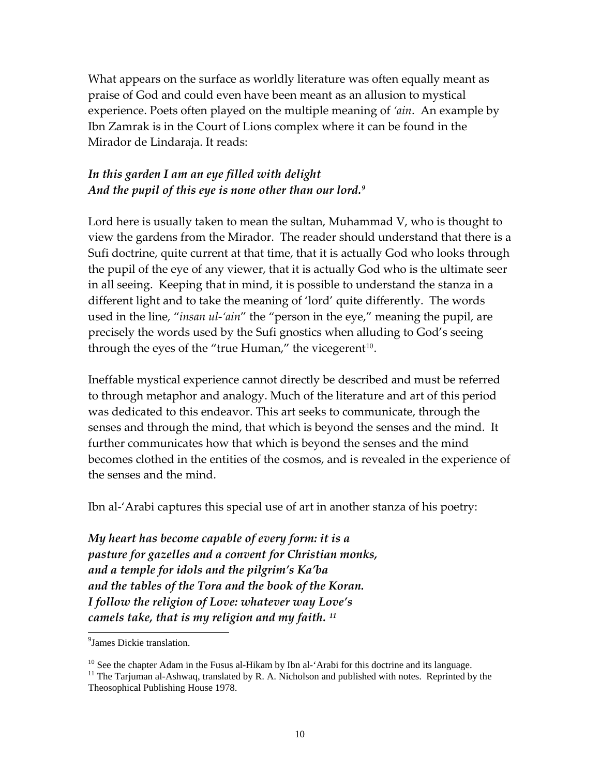What appears on the surface as worldly literature was often equally meant as praise of God and could even have been meant as an allusion to mystical experience. Poets often played on the multiple meaning of *'ain*. An example by Ibn Zamrak is in the Court of Lions complex where it can be found in the Mirador de Lindaraja. It reads:

### *In this garden I am an eye filled with delight And the pupil of this eye is none other than our lord.[9](#page-9-0)*

Lord here is usually taken to mean the sultan, Muhammad V, who is thought to view the gardens from the Mirador. The reader should understand that there is a Sufi doctrine, quite current at that time, that it is actually God who looks through the pupil of the eye of any viewer, that it is actually God who is the ultimate seer in all seeing. Keeping that in mind, it is possible to understand the stanza in a different light and to take the meaning of 'lord' quite differently. The words used in the line, "*insan ul‐'ain*" the "person in the eye," meaning the pupil, are precisely the words used by the Sufi gnostics when alluding to God's seeing through the eyes of the "true Human," the vicegerent $10$ .

Ineffable mystical experience cannot directly be described and must be referred to through metaphor and analogy. Much of the literature and art of this period was dedicated to this endeavor. This art seeks to communicate, through the senses and through the mind, that which is beyond the senses and the mind. It further communicates how that which is beyond the senses and the mind becomes clothed in the entities of the cosmos, and is revealed in the experience of the senses and the mind.

Ibn al-'Arabi captures this special use of art in another stanza of his poetry:

*My heart has become capable of every form: it is a pasture for gazelles and a convent for Christian monks, and a temple for idols and the pilgrim's Ka'ba and the tables of the Tora and the book of the Koran. I follow the religion of Love: whatever way Love's camels take, that is my religion and my faith. [11](#page-9-2)*

<span id="page-9-0"></span><sup>&</sup>lt;sup>9</sup> James Dickie translation.

 $10$  See the chapter Adam in the Fusus al-Hikam by Ibn al-'Arabi for this doctrine and its language.

<span id="page-9-2"></span><span id="page-9-1"></span> $11$  The Tarjuman al-Ashwaq, translated by R. A. Nicholson and published with notes. Reprinted by the Theosophical Publishing House 1978.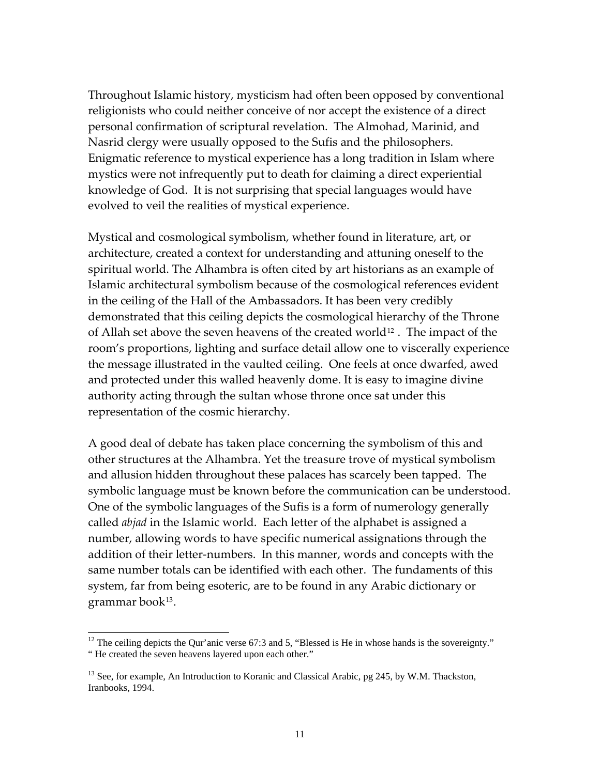Throughout Islamic history, mysticism had often been opposed by conventional religionists who could neither conceive of nor accept the existence of a direct personal confirmation of scriptural revelation. The Almohad, Marinid, and Nasrid clergy were usually opposed to the Sufis and the philosophers. Enigmatic reference to mystical experience has a long tradition in Islam where mystics were not infrequently put to death for claiming a direct experiential knowledge of God. It is not surprising that special languages would have evolved to veil the realities of mystical experience.

Mystical and cosmological symbolism, whether found in literature, art, or architecture, created a context for understanding and attuning oneself to the spiritual world. The Alhambra is often cited by art historians as an example of Islamic architectural symbolism because of the cosmological references evident in the ceiling of the Hall of the Ambassadors. It has been very credibly demonstrated that this ceiling depicts the cosmological hierarchy of the Throne of Allah set above the seven heavens of the created world<sup>[12](#page-10-0)</sup>. The impact of the room's proportions, lighting and surface detail allow one to viscerally experience the message illustrated in the vaulted ceiling. One feels at once dwarfed, awed and protected under this walled heavenly dome. It is easy to imagine divine authority acting through the sultan whose throne once sat under this representation of the cosmic hierarchy.

A good deal of debate has taken place concerning the symbolism of this and other structures at the Alhambra. Yet the treasure trove of mystical symbolism and allusion hidden throughout these palaces has scarcely been tapped. The symbolic language must be known before the communication can be understood. One of the symbolic languages of the Sufis is a form of numerology generally called *abjad* in the Islamic world. Each letter of the alphabet is assigned a number, allowing words to have specific numerical assignations through the addition of their letter‐numbers. In this manner, words and concepts with the same number totals can be identified with each other. The fundaments of this system, far from being esoteric, are to be found in any Arabic dictionary or grammar book[13](#page-10-1).

<span id="page-10-0"></span><sup>&</sup>lt;sup>12</sup> The ceiling depicts the Qur'anic verse 67:3 and 5, "Blessed is He in whose hands is the sovereignty." " He created the seven heavens layered upon each other."

<span id="page-10-1"></span><sup>&</sup>lt;sup>13</sup> See, for example, An Introduction to Koranic and Classical Arabic, pg 245, by W.M. Thackston, Iranbooks, 1994.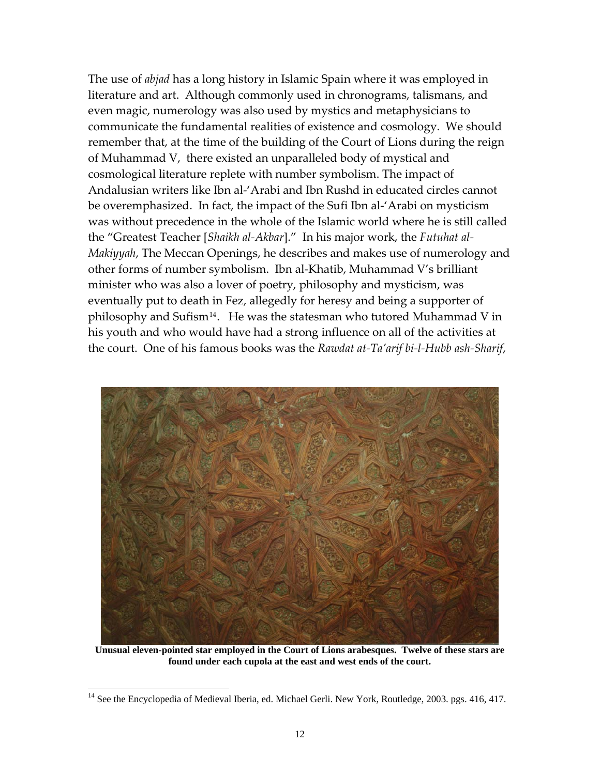The use of *abjad* has a long history in Islamic Spain where it was employed in literature and art. Although commonly used in chronograms, talismans, and even magic, numerology was also used by mystics and metaphysicians to communicate the fundamental realities of existence and cosmology. We should remember that, at the time of the building of the Court of Lions during the reign of Muhammad V, there existed an unparalleled body of mystical and cosmological literature replete with number symbolism. The impact of Andalusian writers like Ibn al‐'Arabi and Ibn Rushd in educated circles cannot be overemphasized. In fact, the impact of the Sufi Ibn al‐'Arabi on mysticism was without precedence in the whole of the Islamic world where he is still called the "Greatest Teacher [*Shaikh al‐Akbar*]." In his major work, the *Futuhat al‐ Makiyyah*, The Meccan Openings, he describes and makes use of numerology and other forms of number symbolism. Ibn al‐Khatib, Muhammad V's brilliant minister who was also a lover of poetry, philosophy and mysticism, was eventually put to death in Fez, allegedly for heresy and being a supporter of philosophy and Sufism<sup>[14](#page-11-0)</sup>. He was the statesman who tutored Muhammad V in his youth and who would have had a strong influence on all of the activities at the court. One of his famous books was the *Rawdat at‐Ta'arif bi‐l‐Hubb ash‐Sharif*,



**Unusual eleven-pointed star employed in the Court of Lions arabesques. Twelve of these stars are found under each cupola at the east and west ends of the court.**

<span id="page-11-0"></span><sup>&</sup>lt;sup>14</sup> See the Encyclopedia of Medieval Iberia, ed. Michael Gerli. New York, Routledge, 2003. pgs. 416, 417.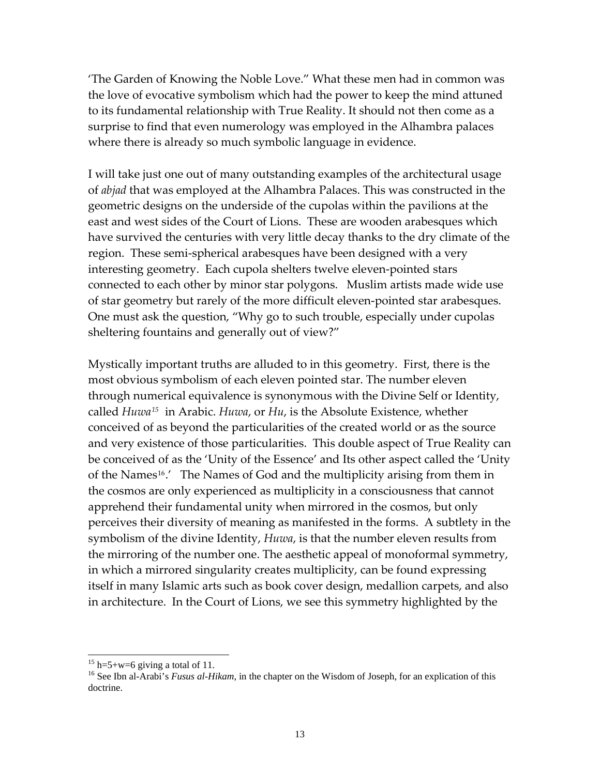'The Garden of Knowing the Noble Love." What these men had in common was the love of evocative symbolism which had the power to keep the mind attuned to its fundamental relationship with True Reality. It should not then come as a surprise to find that even numerology was employed in the Alhambra palaces where there is already so much symbolic language in evidence.

I will take just one out of many outstanding examples of the architectural usage of *abjad* that was employed at the Alhambra Palaces. This was constructed in the geometric designs on the underside of the cupolas within the pavilions at the east and west sides of the Court of Lions. These are wooden arabesques which have survived the centuries with very little decay thanks to the dry climate of the region. These semi-spherical arabesques have been designed with a very interesting geometry. Each cupola shelters twelve eleven‐pointed stars connected to each other by minor star polygons. Muslim artists made wide use of star geometry but rarely of the more difficult eleven‐pointed star arabesques. One must ask the question, "Why go to such trouble, especially under cupolas sheltering fountains and generally out of view?"

Mystically important truths are alluded to in this geometry. First, there is the most obvious symbolism of each eleven pointed star. The number eleven through numerical equivalence is synonymous with the Divine Self or Identity, called *Huwa[15](#page-12-0)* in Arabic. *Huwa*, or *Hu*, is the Absolute Existence, whether conceived of as beyond the particularities of the created world or as the source and very existence of those particularities. This double aspect of True Reality can be conceived of as the 'Unity of the Essence' and Its other aspect called the 'Unity of the Names<sup>[16](#page-12-1)</sup>.' The Names of God and the multiplicity arising from them in the cosmos are only experienced as multiplicity in a consciousness that cannot apprehend their fundamental unity when mirrored in the cosmos, but only perceives their diversity of meaning as manifested in the forms. A subtlety in the symbolism of the divine Identity, *Huwa*, is that the number eleven results from the mirroring of the number one. The aesthetic appeal of monoformal symmetry, in which a mirrored singularity creates multiplicity, can be found expressing itself in many Islamic arts such as book cover design, medallion carpets, and also in architecture. In the Court of Lions, we see this symmetry highlighted by the

<span id="page-12-0"></span><sup>&</sup>lt;sup>15</sup> h=5+w=6 giving a total of 11.

<span id="page-12-1"></span><sup>&</sup>lt;sup>16</sup> See Ibn al-Arabi's *Fusus al-Hikam*, in the chapter on the Wisdom of Joseph, for an explication of this doctrine.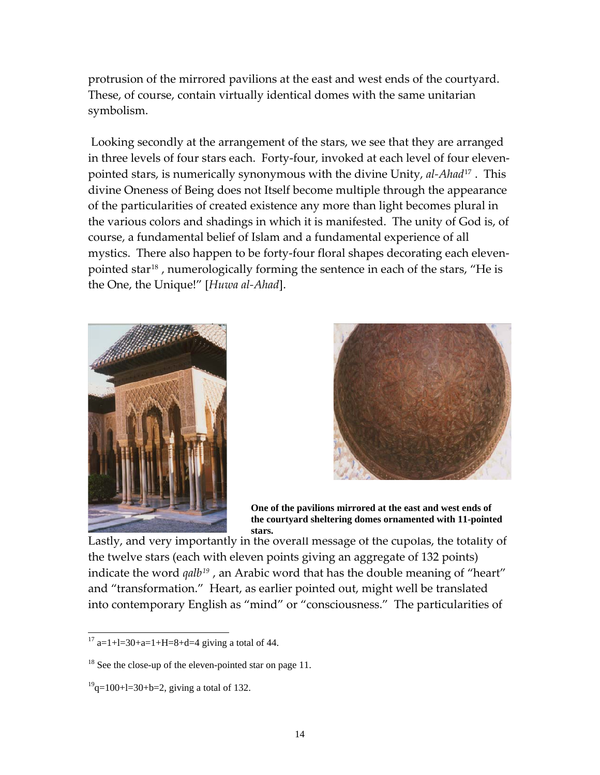protrusion of the mirrored pavilions at the east and west ends of the courtyard. These, of course, contain virtually identical domes with the same unitarian symbolism.

Looking secondly at the arrangement of the stars, we see that they are arranged in three levels of four stars each. Forty-four, invoked at each level of four elevenpointed stars, is numerically synonymous with the divine Unity, *al‐Ahad*[17](#page-13-0) . This divine Oneness of Being does not Itself become multiple through the appearance of the particularities of created existence any more than light becomes plural in the various colors and shadings in which it is manifested. The unity of God is, of course, a fundamental belief of Islam and a fundamental experience of all mystics. There also happen to be forty‐four floral shapes decorating each eleven‐ pointed star<sup>[18](#page-13-1)</sup>, numerologically forming the sentence in each of the stars, "He is the One, the Unique!" [*Huwa al‐Ahad*].





**One of the pavilions mirrored at the east and west ends of the courtyard sheltering domes ornamented with 11-pointed stars.**

Lastly, and very importantly in the overall message of the cupolas, the totality of the twelve stars (each with eleven points giving an aggregate of 132 points) indicate the word *qalb[19](#page-13-2)* , an Arabic word that has the double meaning of "heart" and "transformation." Heart, as earlier pointed out, might well be translated into contemporary English as "mind" or "consciousness." The particularities of

<span id="page-13-0"></span>l  $17$  a=1+l=30+a=1+H=8+d=4 giving a total of 44.

<span id="page-13-1"></span><sup>&</sup>lt;sup>18</sup> See the close-up of the eleven-pointed star on page 11.

<span id="page-13-2"></span> $19^{9}$ q=100+l=30+b=2, giving a total of 132.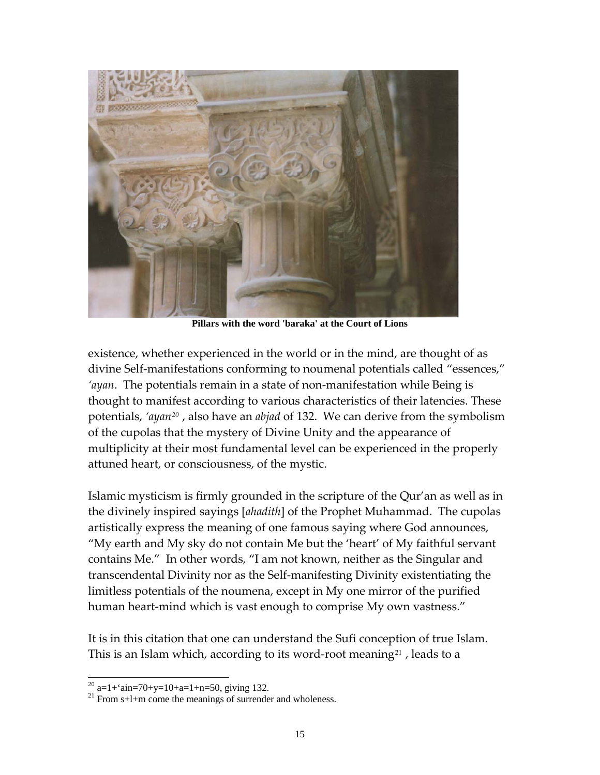

**Pillars with the word 'baraka' at the Court of Lions**

existence, whether experienced in the world or in the mind, are thought of as divine Self‐manifestations conforming to noumenal potentials called "essences," *'ayan*. The potentials remain in a state of non-manifestation while Being is thought to manifest according to various characteristics of their latencies. These potentials, *'ayan[20](#page-14-0)* , also have an *abjad* of 132. We can derive from the symbolism of the cupolas that the mystery of Divine Unity and the appearance of multiplicity at their most fundamental level can be experienced in the properly attuned heart, or consciousness, of the mystic.

Islamic mysticism is firmly grounded in the scripture of the Qur'an as well as in the divinely inspired sayings [*ahadith*] of the Prophet Muhammad. The cupolas artistically express the meaning of one famous saying where God announces, "My earth and My sky do not contain Me but the 'heart' of My faithful servant contains Me." In other words, "I am not known, neither as the Singular and transcendental Divinity nor as the Self‐manifesting Divinity existentiating the limitless potentials of the noumena, except in My one mirror of the purified human heart‐mind which is vast enough to comprise My own vastness."

It is in this citation that one can understand the Sufi conception of true Islam. This is an Islam which, according to its word-root meaning<sup>[21](#page-14-1)</sup>, leads to a

 $^{20}$  a=1+'ain=70+y=10+a=1+n=50, giving 132.

<span id="page-14-1"></span><span id="page-14-0"></span> $21$  From s+1+m come the meanings of surrender and wholeness.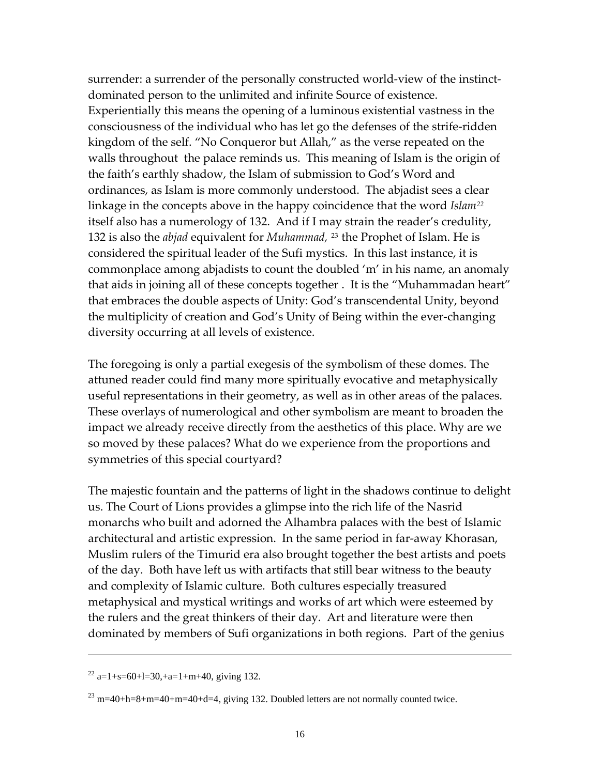surrender: a surrender of the personally constructed world‐view of the instinct‐ dominated person to the unlimited and infinite Source of existence. Experientially this means the opening of a luminous existential vastness in the consciousness of the individual who has let go the defenses of the strife‐ridden kingdom of the self. "No Conqueror but Allah," as the verse repeated on the walls throughout the palace reminds us. This meaning of Islam is the origin of the faith's earthly shadow, the Islam of submission to God's Word and ordinances, as Islam is more commonly understood. The abjadist sees a clear linkage in the concepts above in the happy coincidence that the word *Islam[22](#page-15-0)* itself also has a numerology of 132. And if I may strain the reader's credulity, 132 is also the *abjad* equivalent for *Muhammad,* [23](#page-15-1) the Prophet of Islam. He is considered the spiritual leader of the Sufi mystics. In this last instance, it is commonplace among abjadists to count the doubled 'm' in his name, an anomaly that aids in joining all of these concepts together . It is the "Muhammadan heart" that embraces the double aspects of Unity: God's transcendental Unity, beyond the multiplicity of creation and God's Unity of Being within the ever‐changing diversity occurring at all levels of existence.

The foregoing is only a partial exegesis of the symbolism of these domes. The attuned reader could find many more spiritually evocative and metaphysically useful representations in their geometry, as well as in other areas of the palaces. These overlays of numerological and other symbolism are meant to broaden the impact we already receive directly from the aesthetics of this place. Why are we so moved by these palaces? What do we experience from the proportions and symmetries of this special courtyard?

The majestic fountain and the patterns of light in the shadows continue to delight us. The Court of Lions provides a glimpse into the rich life of the Nasrid monarchs who built and adorned the Alhambra palaces with the best of Islamic architectural and artistic expression. In the same period in far‐away Khorasan, Muslim rulers of the Timurid era also brought together the best artists and poets of the day. Both have left us with artifacts that still bear witness to the beauty and complexity of Islamic culture. Both cultures especially treasured metaphysical and mystical writings and works of art which were esteemed by the rulers and the great thinkers of their day. Art and literature were then dominated by members of Sufi organizations in both regions. Part of the genius

<span id="page-15-0"></span> $22$  a=1+s=60+l=30,+a=1+m+40, giving 132.

<span id="page-15-1"></span> $23$  m=40+h=8+m=40+m=40+d=4, giving 132. Doubled letters are not normally counted twice.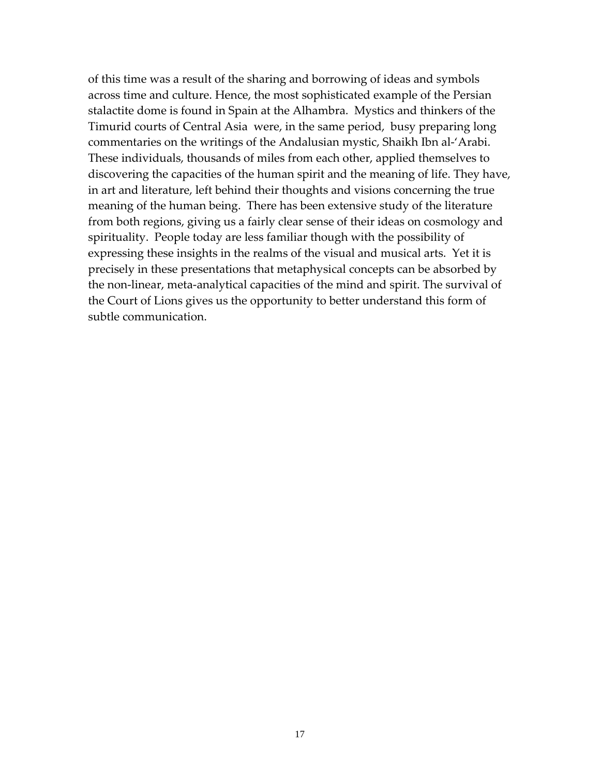of this time was a result of the sharing and borrowing of ideas and symbols across time and culture. Hence, the most sophisticated example of the Persian stalactite dome is found in Spain at the Alhambra. Mystics and thinkers of the Timurid courts of Central Asia were, in the same period, busy preparing long commentaries on the writings of the Andalusian mystic, Shaikh Ibn al‐'Arabi. These individuals, thousands of miles from each other, applied themselves to discovering the capacities of the human spirit and the meaning of life. They have, in art and literature, left behind their thoughts and visions concerning the true meaning of the human being. There has been extensive study of the literature from both regions, giving us a fairly clear sense of their ideas on cosmology and spirituality. People today are less familiar though with the possibility of expressing these insights in the realms of the visual and musical arts. Yet it is precisely in these presentations that metaphysical concepts can be absorbed by the non‐linear, meta‐analytical capacities of the mind and spirit. The survival of the Court of Lions gives us the opportunity to better understand this form of subtle communication.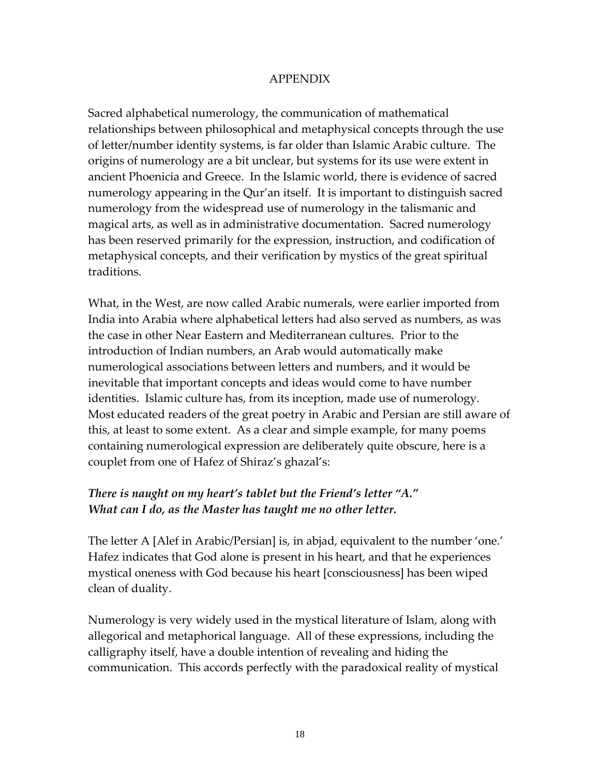#### APPENDIX

Sacred alphabetical numerology, the communication of mathematical relationships between philosophical and metaphysical concepts through the use of letter/number identity systems, is far older than Islamic Arabic culture. The origins of numerology are a bit unclear, but systems for its use were extent in ancient Phoenicia and Greece. In the Islamic world, there is evidence of sacred numerology appearing in the Qur'an itself. It is important to distinguish sacred numerology from the widespread use of numerology in the talismanic and magical arts, as well as in administrative documentation. Sacred numerology has been reserved primarily for the expression, instruction, and codification of metaphysical concepts, and their verification by mystics of the great spiritual traditions.

What, in the West, are now called Arabic numerals, were earlier imported from India into Arabia where alphabetical letters had also served as numbers, as was the case in other Near Eastern and Mediterranean cultures. Prior to the introduction of Indian numbers, an Arab would automatically make numerological associations between letters and numbers, and it would be inevitable that important concepts and ideas would come to have number identities. Islamic culture has, from its inception, made use of numerology. Most educated readers of the great poetry in Arabic and Persian are still aware of this, at least to some extent. As a clear and simple example, for many poems containing numerological expression are deliberately quite obscure, here is a couplet from one of Hafez of Shiraz's ghazal's:

### *There is naught on my heart's tablet but the Friend's letter "A." What can I do, as the Master has taught me no other letter.*

The letter A [Alef in Arabic/Persian] is, in abjad, equivalent to the number 'one.' Hafez indicates that God alone is present in his heart, and that he experiences mystical oneness with God because his heart [consciousness] has been wiped clean of duality.

Numerology is very widely used in the mystical literature of Islam, along with allegorical and metaphorical language. All of these expressions, including the calligraphy itself, have a double intention of revealing and hiding the communication. This accords perfectly with the paradoxical reality of mystical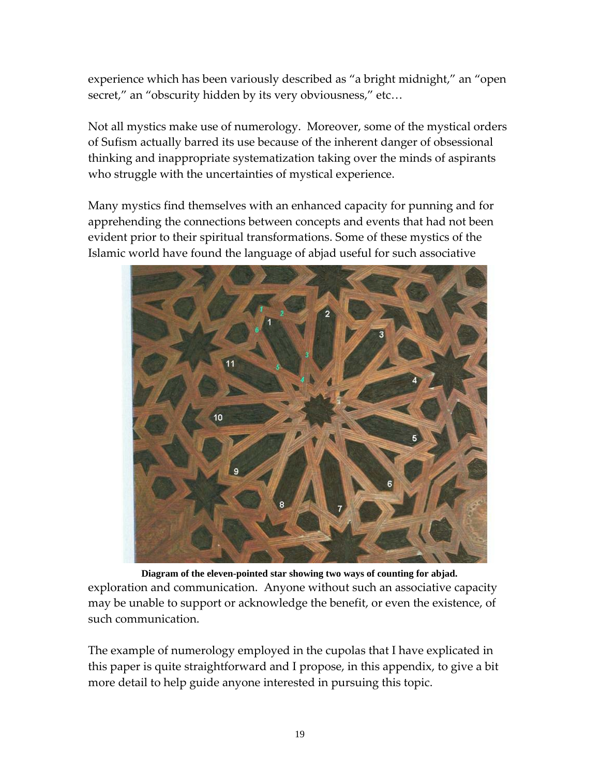experience which has been variously described as "a bright midnight," an "open secret," an "obscurity hidden by its very obviousness," etc...

Not all mystics make use of numerology. Moreover, some of the mystical orders of Sufism actually barred its use because of the inherent danger of obsessional thinking and inappropriate systematization taking over the minds of aspirants who struggle with the uncertainties of mystical experience.

Many mystics find themselves with an enhanced capacity for punning and for apprehending the connections between concepts and events that had not been evident prior to their spiritual transformations. Some of these mystics of the Islamic world have found the language of abjad useful for such associative



exploration and communication. Anyone without such an associative capacity may be unable to support or acknowledge the benefit, or even the existence, of such communication. **Diagram of the eleven-pointed star showing two ways of counting for abjad.**

The example of numerology employed in the cupolas that I have explicated in this paper is quite straightforward and I propose, in this appendix, to give a bit more detail to help guide anyone interested in pursuing this topic.